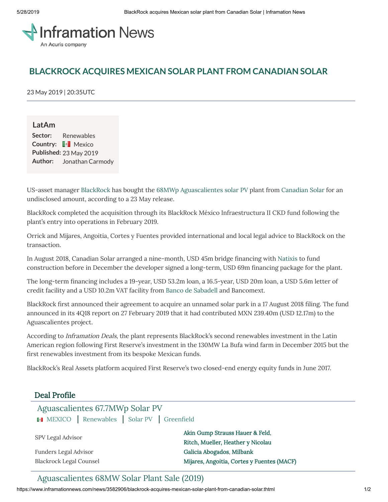

# **BLACKROCK ACQUIRES MEXICAN SOLAR PLANT FROM CANADIAN SOLAR**

23 May 2019 | 20:35UTC

**LatAm Sector:** Renewables **Country: Mexico Published:** 23 May 2019 **Author:** Jonathan Carmody

US-asset manager [BlackRock](https://www.inframationnews.com/investors/1167773/blackrock.thtml) has bought the 68MWp [Aguascalientes](https://www.inframationnews.com/deals/2748156/aguascalientes-677mwp-solar-pv.thtml) solar PV plant from [Canadian](https://www.inframationnews.com/investors/1098558/canadian-solar.thtml) Solar for an undisclosed amount, according to a 23 May release.

BlackRock completed the acquisition through its BlackRock México Infraestructura II CKD fund following the plant's entry into operations in February 2019.

Orrick and Mijares, Angoitia, Cortes y Fuentes provided international and local legal advice to BlackRock on the transaction.

In August 2018, Canadian Solar arranged a nine-month, USD 45m bridge financing with [Natixis](https://www.inframationnews.com/investors/303781/natixis.thtml) to fund construction before in December the developer signed a long-term, USD 69m financing package for the plant.

The long-term financing includes a 19-year, USD 53.2m loan, a 16.5-year, USD 20m loan, a USD 5.6m letter of credit facility and a USD 10.2m VAT facility from Banco de [Sabadell](https://www.inframationnews.com/investors/1157023/banco-de-sabadell.thtml) and Bancomext.

BlackRock first announced their agreement to acquire an unnamed solar park in a 17 August 2018 filing. The fund announced in its 4Q18 report on 27 February 2019 that it had contributed MXN 239.40m (USD 12.17m) to the Aguascalientes project.

According to *Inframation Deals*, the plant represents BlackRock's second renewables investment in the Latin American region following First Reserve's investment in the 130MW La Bufa wind farm in December 2015 but the first renewables investment from its bespoke Mexican funds.

BlackRock's Real Assets platform acquired First Reserve's two closed-end energy equity funds in June 2017.

# Deal Profile

| Aguascalientes 67.7MWp Solar PV<br>MEXICO   Renewables   Solar PV   Greenfield |                                                                      |  |
|--------------------------------------------------------------------------------|----------------------------------------------------------------------|--|
| SPV Legal Advisor                                                              | Akin Gump Strauss Hauer & Feld,<br>Ritch, Mueller, Heather y Nicolau |  |
| Funders Legal Advisor                                                          | Galicia Abogados, Milbank                                            |  |
| <b>Blackrock Legal Counsel</b>                                                 | Mijares, Angoitia, Cortes y Fuentes (MACF)                           |  |

[Aguascalientes](https://www.inframationnews.com/deals/3584526/aguascalientes-68mw-solar-plant-sale-2019.thtml) 68MW Solar Plant Sale (2019)